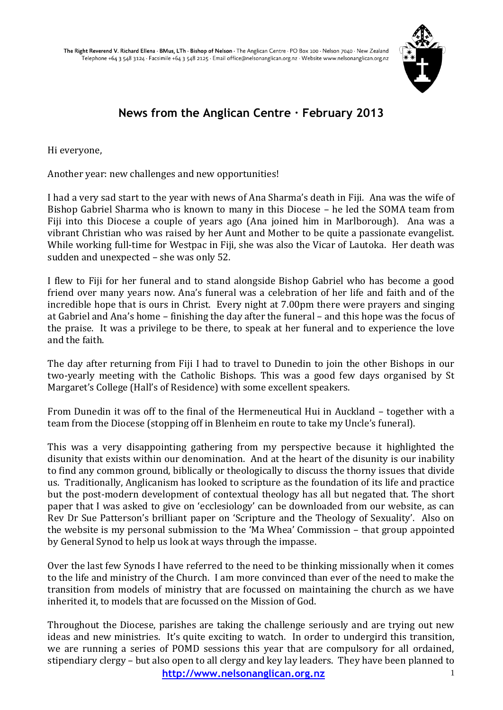

# **News from the Anglican Centre · February 2013**

Hi everyone,

Another year: new challenges and new opportunities!

I had a very sad start to the year with news of Ana Sharma's death in Fiji. Ana was the wife of Bishop Gabriel Sharma who is known to many in this Diocese – he led the SOMA team from Fiji into this Diocese a couple of years ago (Ana joined him in Marlborough). Ana was a vibrant Christian who was raised by her Aunt and Mother to be quite a passionate evangelist. While working full-time for Westpac in Fiji, she was also the Vicar of Lautoka. Her death was sudden and unexpected – she was only 52.

I flew to Fiji for her funeral and to stand alongside Bishop Gabriel who has become a good friend over many years now. Ana's funeral was a celebration of her life and faith and of the incredible hope that is ours in Christ. Every night at 7.00pm there were prayers and singing at Gabriel and Ana's home – finishing the day after the funeral – and this hope was the focus of the praise. It was a privilege to be there, to speak at her funeral and to experience the love and the faith.

The day after returning from Fiji I had to travel to Dunedin to join the other Bishops in our two-yearly meeting with the Catholic Bishops. This was a good few days organised by St Margaret's College (Hall's of Residence) with some excellent speakers.

From Dunedin it was off to the final of the Hermeneutical Hui in Auckland – together with a team from the Diocese (stopping off in Blenheim en route to take my Uncle's funeral).

This was a very disappointing gathering from my perspective because it highlighted the disunity that exists within our denomination. And at the heart of the disunity is our inability to find any common ground, biblically or theologically to discuss the thorny issues that divide us. Traditionally, Anglicanism has looked to scripture as the foundation of its life and practice but the post-modern development of contextual theology has all but negated that. The short paper that I was asked to give on 'ecclesiology' can be downloaded from our website, as can Rev Dr Sue Patterson's brilliant paper on 'Scripture and the Theology of Sexuality'. Also on the website is my personal submission to the 'Ma Whea' Commission – that group appointed by General Synod to help us look at ways through the impasse.

Over the last few Synods I have referred to the need to be thinking missionally when it comes to the life and ministry of the Church. I am more convinced than ever of the need to make the transition from models of ministry that are focussed on maintaining the church as we have inherited it, to models that are focussed on the Mission of God.

Throughout the Diocese, parishes are taking the challenge seriously and are trying out new ideas and new ministries. It's quite exciting to watch. In order to undergird this transition, we are running a series of POMD sessions this year that are compulsory for all ordained, stipendiary clergy – but also open to all clergy and key lay leaders. They have been planned to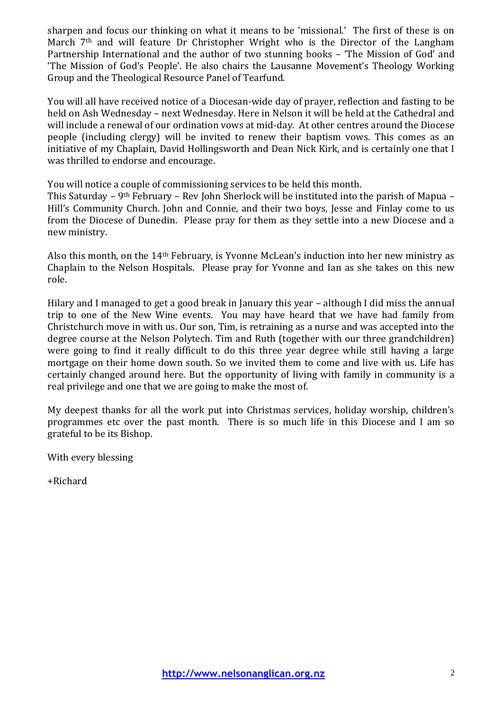sharpen and focus our thinking on what it means to be 'missional.' The first of these is on March 7th and will feature Dr Christopher Wright who is the Director of the Langham Partnership International and the author of two stunning books – 'The Mission of God' and 'The Mission of God's People'. He also chairs the Lausanne Movement's Theology Working Group and the Theological Resource Panel of Tearfund.

You will all have received notice of a Diocesan-wide day of prayer, reflection and fasting to be held on Ash Wednesday – next Wednesday. Here in Nelson it will be held at the Cathedral and will include a renewal of our ordination vows at mid-day. At other centres around the Diocese people (including clergy) will be invited to renew their baptism vows. This comes as an initiative of my Chaplain, David Hollingsworth and Dean Nick Kirk, and is certainly one that I was thrilled to endorse and encourage.

You will notice a couple of commissioning services to be held this month.

This Saturday – 9th February – Rev John Sherlock will be instituted into the parish of Mapua – Hill's Community Church. John and Connie, and their two boys, Jesse and Finlay come to us from the Diocese of Dunedin. Please pray for them as they settle into a new Diocese and a new ministry.

Also this month, on the 14th February, is Yvonne McLean's induction into her new ministry as Chaplain to the Nelson Hospitals. Please pray for Yvonne and Ian as she takes on this new role.

Hilary and I managed to get a good break in January this year – although I did miss the annual trip to one of the New Wine events. You may have heard that we have had family from Christchurch move in with us. Our son, Tim, is retraining as a nurse and was accepted into the degree course at the Nelson Polytech. Tim and Ruth (together with our three grandchildren) were going to find it really difficult to do this three year degree while still having a large mortgage on their home down south. So we invited them to come and live with us. Life has certainly changed around here. But the opportunity of living with family in community is a real privilege and one that we are going to make the most of.

My deepest thanks for all the work put into Christmas services, holiday worship, children's programmes etc over the past month. There is so much life in this Diocese and I am so grateful to be its Bishop.

With every blessing

+Richard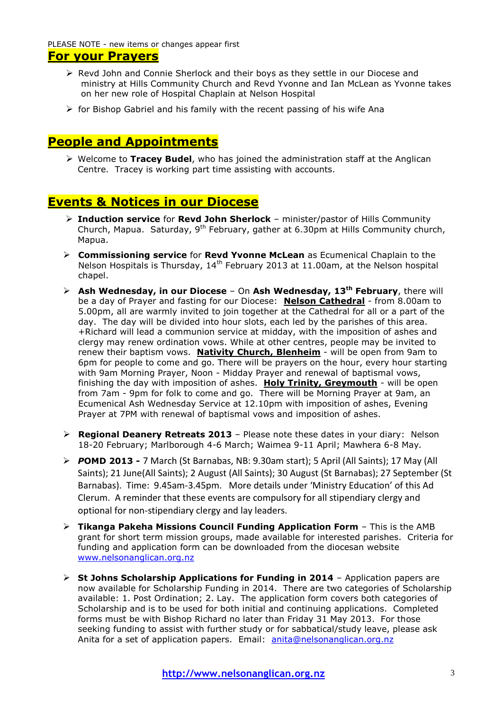PLEASE NOTE - new items or changes appear first

# **For your Prayers**

- $\triangleright$  Revd John and Connie Sherlock and their boys as they settle in our Diocese and ministry at Hills Community Church and Revd Yvonne and Ian McLean as Yvonne takes on her new role of Hospital Chaplain at Nelson Hospital
- $\triangleright$  for Bishop Gabriel and his family with the recent passing of his wife Ana

# **People and Appointments**

 Welcome to **Tracey Budel**, who has joined the administration staff at the Anglican Centre. Tracey is working part time assisting with accounts.

# **Events & Notices in our Diocese**

- **Induction service** for **Revd John Sherlock** minister/pastor of Hills Community Church, Mapua. Saturday,  $9^{th}$  February, gather at 6.30pm at Hills Community church, Mapua.
- **Commissioning service** for **Revd Yvonne McLean** as Ecumenical Chaplain to the Nelson Hospitals is Thursday,  $14<sup>th</sup>$  February 2013 at 11.00am, at the Nelson hospital chapel.
- **Ash Wednesday, in our Diocese**  On **Ash Wednesday, 13th February**, there will be a day of Prayer and fasting for our Diocese: **Nelson Cathedral** - from 8.00am to 5.00pm, all are warmly invited to join together at the Cathedral for all or a part of the day. The day will be divided into hour slots, each led by the parishes of this area. +Richard will lead a communion service at midday, with the imposition of ashes and clergy may renew ordination vows. While at other centres, people may be invited to renew their baptism vows. **Nativity Church, Blenheim** - will be open from 9am to 6pm for people to come and go. There will be prayers on the hour, every hour starting with 9am Morning Prayer, Noon - Midday Prayer and renewal of baptismal vows, finishing the day with imposition of ashes. **Holy Trinity, Greymouth** - will be open from 7am - 9pm for folk to come and go. There will be Morning Prayer at 9am, an Ecumenical Ash Wednesday Service at 12.10pm with imposition of ashes, Evening Prayer at 7PM with renewal of baptismal vows and imposition of ashes.
- **Regional Deanery Retreats 2013**  Please note these dates in your diary: Nelson 18-20 February; Marlborough 4-6 March; Waimea 9-11 April; Mawhera 6-8 May*.*
- *P***OMD 2013 -** 7 March (St Barnabas, NB: 9.30am start); 5 April (All Saints); 17 May (All Saints); 21 June(All Saints); 2 August (All Saints); 30 August (St Barnabas); 27 September (St Barnabas). Time: 9.45am-3.45pm. More details under 'Ministry Education' of this Ad Clerum. A reminder that these events are compulsory for all stipendiary clergy and optional for non-stipendiary clergy and lay leaders.
- **Tikanga Pakeha Missions Council Funding Application Form** This is the AMB grant for short term mission groups, made available for interested parishes. Criteria for funding and application form can be downloaded from the diocesan website [www.nelsonanglican.org.nz](http://www.nelsonanglican.org.nz/)
- **St Johns Scholarship Applications for Funding in 2014** Application papers are now available for Scholarship Funding in 2014. There are two categories of Scholarship available: 1. Post Ordination; 2. Lay. The application form covers both categories of Scholarship and is to be used for both initial and continuing applications. Completed forms must be with Bishop Richard no later than Friday 31 May 2013. For those seeking funding to assist with further study or for sabbatical/study leave, please ask Anita for a set of application papers. Email: [anita@nelsonanglican.org.nz](mailto:anita@nelsonanglican.org.nz)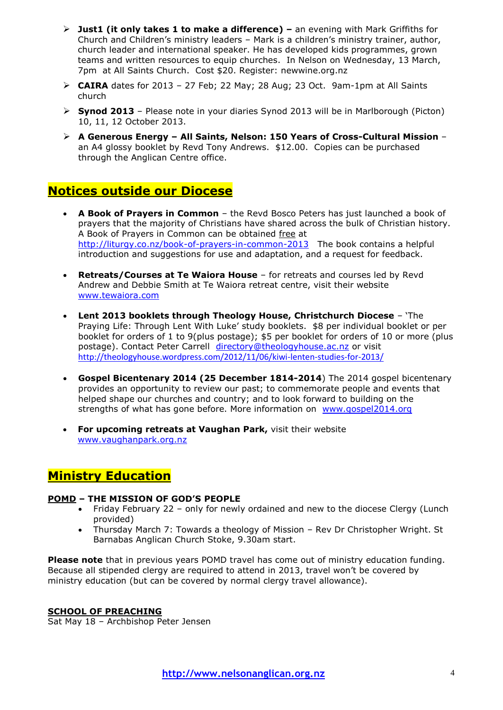- **Just1 (it only takes 1 to make a difference) –** an evening with Mark Griffiths for Church and Children"s ministry leaders – Mark is a children"s ministry trainer, author, church leader and international speaker. He has developed kids programmes, grown teams and written resources to equip churches. In Nelson on Wednesday, 13 March, 7pm at All Saints Church. Cost \$20. Register: newwine.org.nz
- $\triangleright$  **CAIRA** dates for 2013 27 Feb; 22 May; 28 Aug; 23 Oct. 9am-1pm at All Saints church
- **Synod 2013** Please note in your diaries Synod 2013 will be in Marlborough (Picton) 10, 11, 12 October 2013.
- **A Generous Energy – All Saints, Nelson: 150 Years of Cross-Cultural Mission**  an A4 glossy booklet by Revd Tony Andrews. \$12.00. Copies can be purchased through the Anglican Centre office.

# **Notices outside our Diocese**

- **A Book of Prayers in Common** the Revd Bosco Peters has just launched a book of prayers that the majority of Christians have shared across the bulk of Christian history. A Book of Prayers in Common can be obtained free at <http://liturgy.co.nz/book-of-prayers-in-common-2013>The book contains a helpful introduction and suggestions for use and adaptation, and a request for feedback.
- **Retreats/Courses at Te Waiora House** for retreats and courses led by Revd Andrew and Debbie Smith at Te Waiora retreat centre, visit their website [www.tewaiora.com](http://www.tewaiora.com/)
- **Lent 2013 booklets through Theology House, Christchurch Diocese** "The Praying Life: Through Lent With Luke" study booklets. \$8 per individual booklet or per booklet for orders of 1 to 9(plus postage); \$5 per booklet for orders of 10 or more (plus postage). Contact Peter Carrell [directory@theologyhouse.ac.nz](mailto:directory@theologyhouse.ac.nz) or visit <http://theologyhouse.wordpress.com/2012/11/06/kiwi-lenten-studies-for-2013/>
- **Gospel Bicentenary 2014 (25 December 1814-2014**) The 2014 gospel bicentenary provides an opportunity to review our past; to commemorate people and events that helped shape our churches and country; and to look forward to building on the strengths of what has gone before. More information on [www.gospel2014.org](http://www.gospel2014.org/)
- **For upcoming retreats at Vaughan Park,** visit their website [www.vaughanpark.org.nz](http://www.vaughanpark.org.nz/)

# **Ministry Education**

## **POMD – THE MISSION OF GOD'S PEOPLE**

- Friday February 22 only for newly ordained and new to the diocese Clergy (Lunch provided)
- Thursday March 7: Towards a theology of Mission Rev Dr Christopher Wright. St Barnabas Anglican Church Stoke, 9.30am start.

**Please note** that in previous years POMD travel has come out of ministry education funding. Because all stipended clergy are required to attend in 2013, travel won"t be covered by ministry education (but can be covered by normal clergy travel allowance).

## **SCHOOL OF PREACHING**

Sat May 18 – Archbishop Peter Jensen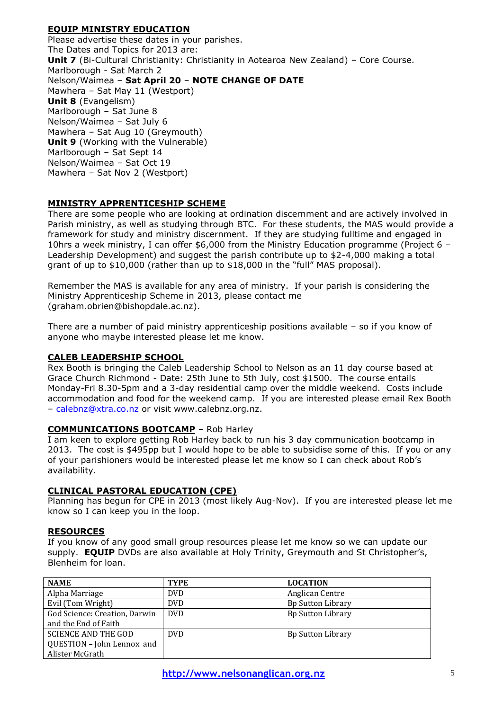## **EQUIP MINISTRY EDUCATION**

Please advertise these dates in your parishes. The Dates and Topics for 2013 are: **Unit 7** (Bi-Cultural Christianity: Christianity in Aotearoa New Zealand) - Core Course. Marlborough - Sat March 2 Nelson/Waimea – **Sat April 20** – **NOTE CHANGE OF DATE** Mawhera – Sat May 11 (Westport) **Unit 8** (Evangelism) Marlborough – Sat June 8 Nelson/Waimea – Sat July 6 Mawhera – Sat Aug 10 (Greymouth) **Unit 9** (Working with the Vulnerable) Marlborough – Sat Sept 14 Nelson/Waimea – Sat Oct 19 Mawhera – Sat Nov 2 (Westport)

## **MINISTRY APPRENTICESHIP SCHEME**

There are some people who are looking at ordination discernment and are actively involved in Parish ministry, as well as studying through BTC. For these students, the MAS would provide a framework for study and ministry discernment. If they are studying fulltime and engaged in 10hrs a week ministry, I can offer \$6,000 from the Ministry Education programme (Project 6 – Leadership Development) and suggest the parish contribute up to \$2-4,000 making a total grant of up to \$10,000 (rather than up to \$18,000 in the "full" MAS proposal).

Remember the MAS is available for any area of ministry. If your parish is considering the Ministry Apprenticeship Scheme in 2013, please contact me (graham.obrien@bishopdale.ac.nz).

There are a number of paid ministry apprenticeship positions available – so if you know of anyone who maybe interested please let me know.

## **CALEB LEADERSHIP SCHOOL**

Rex Booth is bringing the Caleb Leadership School to Nelson as an 11 day course based at Grace Church Richmond - Date: 25th June to 5th July, cost \$1500. The course entails Monday-Fri 8.30-5pm and a 3-day residential camp over the middle weekend. Costs include accommodation and food for the weekend camp. If you are interested please email Rex Booth - [calebnz@xtra.co.nz](mailto:calebnz@xtra.co.nz) or visit www.calebnz.org.nz.

## **COMMUNICATIONS BOOTCAMP** – Rob Harley

I am keen to explore getting Rob Harley back to run his 3 day communication bootcamp in 2013. The cost is \$495pp but I would hope to be able to subsidise some of this. If you or any of your parishioners would be interested please let me know so I can check about Rob"s availability.

#### **CLINICAL PASTORAL EDUCATION (CPE)**

Planning has begun for CPE in 2013 (most likely Aug-Nov). If you are interested please let me know so I can keep you in the loop.

#### **RESOURCES**

If you know of any good small group resources please let me know so we can update our supply. **EQUIP** DVDs are also available at Holy Trinity, Greymouth and St Christopher's, Blenheim for loan.

| <b>NAME</b>                   | <b>TYPE</b> | <b>LOCATION</b>          |
|-------------------------------|-------------|--------------------------|
| Alpha Marriage                | DVD.        | Anglican Centre          |
| Evil (Tom Wright)             | <b>DVD</b>  | <b>Bp Sutton Library</b> |
| God Science: Creation, Darwin | <b>DVD</b>  | <b>Bp Sutton Library</b> |
| and the End of Faith          |             |                          |
| <b>SCIENCE AND THE GOD</b>    | <b>DVD</b>  | <b>Bp Sutton Library</b> |
| QUESTION - John Lennox and    |             |                          |
| Alister McGrath               |             |                          |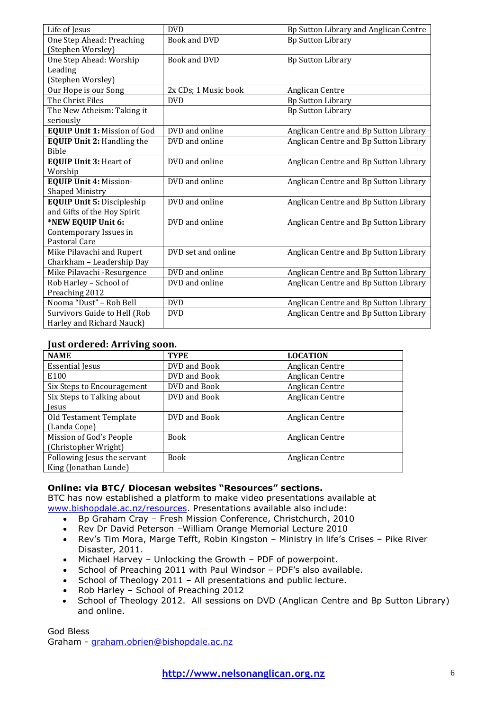| Life of Jesus                       | <b>DVD</b>           | Bp Sutton Library and Anglican Centre |
|-------------------------------------|----------------------|---------------------------------------|
| One Step Ahead: Preaching           | <b>Book and DVD</b>  | <b>Bp Sutton Library</b>              |
| (Stephen Worsley)                   |                      |                                       |
| One Step Ahead: Worship             | <b>Book and DVD</b>  | <b>Bp Sutton Library</b>              |
| Leading                             |                      |                                       |
| (Stephen Worsley)                   |                      |                                       |
| Our Hope is our Song                | 2x CDs; 1 Music book | Anglican Centre                       |
| The Christ Files                    | <b>DVD</b>           | <b>Bp Sutton Library</b>              |
| The New Atheism: Taking it          |                      | <b>Bp Sutton Library</b>              |
| seriously                           |                      |                                       |
| <b>EQUIP Unit 1: Mission of God</b> | DVD and online       | Anglican Centre and Bp Sutton Library |
| <b>EQUIP Unit 2: Handling the</b>   | DVD and online       | Anglican Centre and Bp Sutton Library |
| <b>Bible</b>                        |                      |                                       |
| <b>EQUIP Unit 3: Heart of</b>       | DVD and online       | Anglican Centre and Bp Sutton Library |
| Worship                             |                      |                                       |
| <b>EQUIP Unit 4: Mission-</b>       | DVD and online       | Anglican Centre and Bp Sutton Library |
| <b>Shaped Ministry</b>              |                      |                                       |
| <b>EQUIP Unit 5: Discipleship</b>   | DVD and online       | Anglican Centre and Bp Sutton Library |
| and Gifts of the Hoy Spirit         |                      |                                       |
| *NEW EQUIP Unit 6:                  | DVD and online       | Anglican Centre and Bp Sutton Library |
| Contemporary Issues in              |                      |                                       |
| Pastoral Care                       |                      |                                       |
| Mike Pilavachi and Rupert           | DVD set and online   | Anglican Centre and Bp Sutton Library |
| Charkham - Leadership Day           |                      |                                       |
| Mike Pilavachi - Resurgence         | DVD and online       | Anglican Centre and Bp Sutton Library |
| Rob Harley - School of              | DVD and online       | Anglican Centre and Bp Sutton Library |
| Preaching 2012                      |                      |                                       |
| Nooma "Dust" - Rob Bell             | <b>DVD</b>           | Anglican Centre and Bp Sutton Library |
| Survivors Guide to Hell (Rob        | <b>DVD</b>           | Anglican Centre and Bp Sutton Library |
| Harley and Richard Nauck)           |                      |                                       |

## **Just ordered: Arriving soon.**

| <b>NAME</b>                 | <b>TYPE</b>  | <b>LOCATION</b> |  |  |
|-----------------------------|--------------|-----------------|--|--|
| <b>Essential Jesus</b>      | DVD and Book | Anglican Centre |  |  |
| E100                        | DVD and Book | Anglican Centre |  |  |
| Six Steps to Encouragement  | DVD and Book | Anglican Centre |  |  |
| Six Steps to Talking about  | DVD and Book | Anglican Centre |  |  |
| <b>Jesus</b>                |              |                 |  |  |
| Old Testament Template      | DVD and Book | Anglican Centre |  |  |
| (Landa Cope)                |              |                 |  |  |
| Mission of God's People     | <b>Book</b>  | Anglican Centre |  |  |
| (Christopher Wright)        |              |                 |  |  |
| Following Jesus the servant | <b>Book</b>  | Anglican Centre |  |  |
| King (Jonathan Lunde)       |              |                 |  |  |

## **Online: via BTC/ Diocesan websites "Resources" sections.**

BTC has now established a platform to make video presentations available at [www.bishopdale.ac.nz/resources.](http://www.bishopdale.ac.nz/resources) Presentations available also include:

- Bp Graham Cray Fresh Mission Conference, Christchurch, 2010
- Rev Dr David Peterson –William Orange Memorial Lecture 2010
- Rev's Tim Mora, Marge Tefft, Robin Kingston Ministry in life's Crises Pike River Disaster, 2011.
- Michael Harvey Unlocking the Growth PDF of powerpoint.
- School of Preaching 2011 with Paul Windsor PDF's also available.
- School of Theology 2011 All presentations and public lecture.
- Rob Harley School of Preaching 2012
- School of Theology 2012. All sessions on DVD (Anglican Centre and Bp Sutton Library) and online.

God Bless Graham - [graham.obrien@bishopdale.ac.nz](mailto:graham.obrien@bishopdale.ac.nz)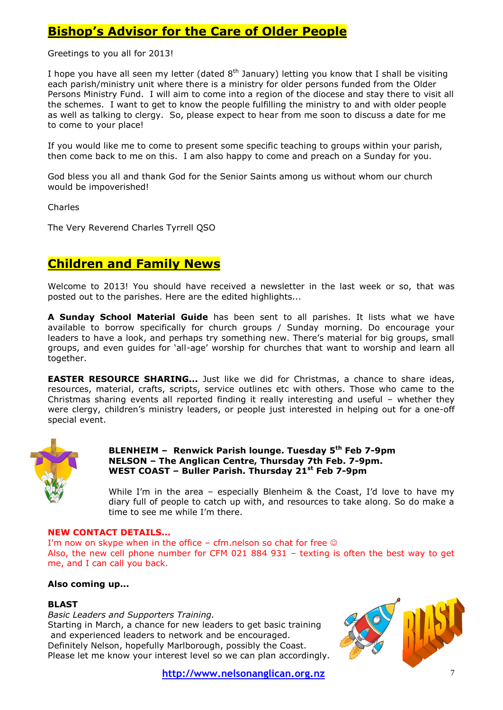# **Bishop's Advisor for the Care of Older People**

Greetings to you all for 2013!

I hope you have all seen my letter (dated  $8<sup>th</sup>$  January) letting you know that I shall be visiting each parish/ministry unit where there is a ministry for older persons funded from the Older Persons Ministry Fund. I will aim to come into a region of the diocese and stay there to visit all the schemes. I want to get to know the people fulfilling the ministry to and with older people as well as talking to clergy. So, please expect to hear from me soon to discuss a date for me to come to your place!

If you would like me to come to present some specific teaching to groups within your parish, then come back to me on this. I am also happy to come and preach on a Sunday for you.

God bless you all and thank God for the Senior Saints among us without whom our church would be impoverished!

Charles

The Very Reverend Charles Tyrrell QSO

## **Children and Family News**

Welcome to 2013! You should have received a newsletter in the last week or so, that was posted out to the parishes. Here are the edited highlights...

**A Sunday School Material Guide** has been sent to all parishes. It lists what we have available to borrow specifically for church groups / Sunday morning. Do encourage your leaders to have a look, and perhaps try something new. There"s material for big groups, small groups, and even guides for "all-age" worship for churches that want to worship and learn all together.

**EASTER RESOURCE SHARING...** Just like we did for Christmas, a chance to share ideas, resources, material, crafts, scripts, service outlines etc with others. Those who came to the Christmas sharing events all reported finding it really interesting and useful – whether they were clergy, children's ministry leaders, or people just interested in helping out for a one-off special event.



#### **BLENHEIM – Renwick Parish lounge. Tuesday 5th Feb 7-9pm NELSON – The Anglican Centre, Thursday 7th Feb. 7-9pm. WEST COAST – Buller Parish. Thursday 21st Feb 7-9pm**

While I'm in the area - especially Blenheim & the Coast, I'd love to have my diary full of people to catch up with, and resources to take along. So do make a time to see me while I"m there.

#### **NEW CONTACT DETAILS...**

I'm now on skype when in the office – cfm.nelson so chat for free  $\odot$ Also, the new cell phone number for CFM 021 884 931 – texting is often the best way to get me, and I can call you back.

#### **Also coming up...**

#### **BLAST**

*Basic Leaders and Supporters Training.*

Starting in March, a chance for new leaders to get basic training and experienced leaders to network and be encouraged. Definitely Nelson, hopefully Marlborough, possibly the Coast. Please let me know your interest level so we can plan accordingly.

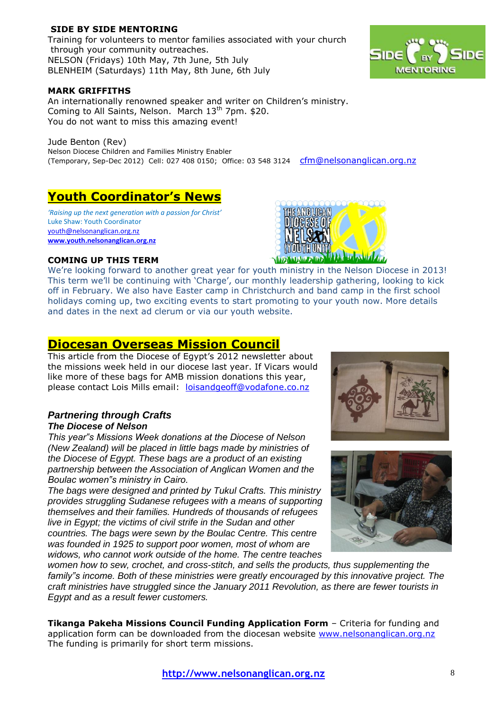## **SIDE BY SIDE MENTORING**

Training for volunteers to mentor families associated with your church through your community outreaches. NELSON (Fridays) 10th May, 7th June, 5th July BLENHEIM (Saturdays) 11th May, 8th June, 6th July



#### **MARK GRIFFITHS**

An internationally renowned speaker and writer on Children's ministry. Coming to All Saints, Nelson. March  $13<sup>th</sup>$  7pm. \$20. You do not want to miss this amazing event!

Jude Benton (Rev) Nelson Diocese Children and Families Ministry Enabler (Temporary, Sep-Dec 2012) Cell: 027 408 0150; Office: 03 548 3124 [cfm@nelsonanglican.org.nz](mailto:cfm@nelsonanglican.org.nz)

## **Youth Coordinator's News**

*'Raising up the next generation with a passion for Christ'* Luke Shaw: Youth Coordinator [youth@nelsonanglican.org.nz](mailto:youth@nelsonanglican.org.nz) **[www.youth.nelsonanglican.org.nz](http://www.youth.nelsonanglican.org.nz/)**



#### **COMING UP THIS TERM**

We"re looking forward to another great year for youth ministry in the Nelson Diocese in 2013! This term we'll be continuing with 'Charge', our monthly leadership gathering, looking to kick off in February. We also have Easter camp in Christchurch and band camp in the first school holidays coming up, two exciting events to start promoting to your youth now. More details and dates in the next ad clerum or via our youth website.

## **Diocesan Overseas Mission Council**

This article from the Diocese of Egypt's 2012 newsletter about the missions week held in our diocese last year. If Vicars would like more of these bags for AMB mission donations this year, please contact Lois Mills email: [loisandgeoff@vodafone.co.nz](mailto:loisandgeoff@vodafone.co.nz)

#### *Partnering through Crafts The Diocese of Nelson*

*This year"s Missions Week donations at the Diocese of Nelson (New Zealand) will be placed in little bags made by ministries of the Diocese of Egypt. These bags are a product of an existing partnership between the Association of Anglican Women and the Boulac women"s ministry in Cairo.*

*The bags were designed and printed by Tukul Crafts. This ministry provides struggling Sudanese refugees with a means of supporting themselves and their families. Hundreds of thousands of refugees live in Egypt; the victims of civil strife in the Sudan and other countries. The bags were sewn by the Boulac Centre. This centre was founded in 1925 to support poor women, most of whom are widows, who cannot work outside of the home. The centre teaches* 





*women how to sew, crochet, and cross-stitch, and sells the products, thus supplementing the family"s income. Both of these ministries were greatly encouraged by this innovative project. The craft ministries have struggled since the January 2011 Revolution, as there are fewer tourists in Egypt and as a result fewer customers.*

**Tikanga Pakeha Missions Council Funding Application Form** – Criteria for funding and application form can be downloaded from the diocesan website [www.nelsonanglican.org.nz](http://www.nelsonanglican.org.nz/)  The funding is primarily for short term missions.